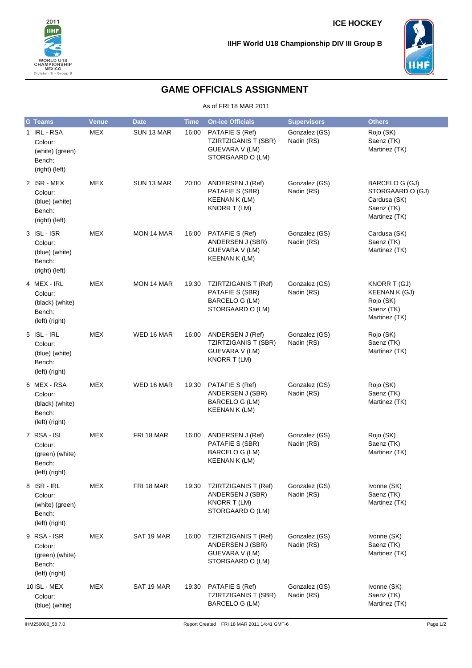



## **GAME OFFICIALS ASSIGNMENT**

As of FRI 18 MAR 2011

| <b>G</b> Teams                                                        | <b>Venue</b> | <b>Date</b> | <b>Time</b> | <b>On-ice Officials</b>                                                                     | <b>Supervisors</b>          | <b>Others</b>                                                                     |
|-----------------------------------------------------------------------|--------------|-------------|-------------|---------------------------------------------------------------------------------------------|-----------------------------|-----------------------------------------------------------------------------------|
| 1 IRL - RSA<br>Colour:<br>(white) (green)<br>Bench:<br>(right) (left) | <b>MEX</b>   | SUN 13 MAR  | 16:00       | PATAFIE S (Ref)<br><b>TZIRTZIGANIS T (SBR)</b><br>GUEVARA V (LM)<br>STORGAARD O (LM)        | Gonzalez (GS)<br>Nadin (RS) | Rojo (SK)<br>Saenz (TK)<br>Martinez (TK)                                          |
| 2 ISR - MEX<br>Colour:<br>(blue) (white)<br>Bench:<br>(right) (left)  | <b>MEX</b>   | SUN 13 MAR  | 20:00       | ANDERSEN J (Ref)<br>PATAFIE S (SBR)<br><b>KEENAN K (LM)</b><br>KNORR T (LM)                 | Gonzalez (GS)<br>Nadin (RS) | BARCELO G (GJ)<br>STORGAARD O (GJ)<br>Cardusa (SK)<br>Saenz (TK)<br>Martinez (TK) |
| 3 ISL-ISR<br>Colour:<br>(blue) (white)<br>Bench:<br>(right) (left)    | <b>MEX</b>   | MON 14 MAR  | 16:00       | PATAFIE S (Ref)<br>ANDERSEN J (SBR)<br><b>GUEVARA V (LM)</b><br>KEENAN K (LM)               | Gonzalez (GS)<br>Nadin (RS) | Cardusa (SK)<br>Saenz (TK)<br>Martinez (TK)                                       |
| 4 MEX - IRL<br>Colour:<br>(black) (white)<br>Bench:<br>(left) (right) | <b>MEX</b>   | MON 14 MAR  | 19:30       | <b>TZIRTZIGANIS T (Ref)</b><br>PATAFIE S (SBR)<br><b>BARCELO G (LM)</b><br>STORGAARD O (LM) | Gonzalez (GS)<br>Nadin (RS) | KNORR T (GJ)<br>KEENAN K (GJ)<br>Rojo (SK)<br>Saenz (TK)<br>Martinez (TK)         |
| 5 ISL-IRL<br>Colour:<br>(blue) (white)<br>Bench:<br>(left) (right)    | <b>MEX</b>   | WED 16 MAR  | 16:00       | ANDERSEN J (Ref)<br><b>TZIRTZIGANIS T (SBR)</b><br><b>GUEVARA V (LM)</b><br>KNORR T (LM)    | Gonzalez (GS)<br>Nadin (RS) | Rojo (SK)<br>Saenz (TK)<br>Martinez (TK)                                          |
| 6 MEX-RSA<br>Colour:<br>(black) (white)<br>Bench:<br>(left) (right)   | <b>MEX</b>   | WED 16 MAR  | 19:30       | PATAFIE S (Ref)<br>ANDERSEN J (SBR)<br>BARCELO G (LM)<br><b>KEENAN K (LM)</b>               | Gonzalez (GS)<br>Nadin (RS) | Rojo (SK)<br>Saenz (TK)<br>Martinez (TK)                                          |
| 7 RSA - ISL<br>Colour:<br>(green) (white)<br>Bench:<br>(left) (right) | <b>MEX</b>   | FRI 18 MAR  | 16:00       | ANDERSEN J (Ref)<br>PATAFIE S (SBR)<br><b>BARCELO G (LM)</b><br>KEENAN K (LM)               | Gonzalez (GS)<br>Nadin (RS) | Rojo (SK)<br>Saenz (TK)<br>Martinez (TK)                                          |
| 8 ISR-IRL<br>Colour:<br>(white) (green)<br>Bench:<br>(left) (right)   | MEX          | FRI 18 MAR  | 19:30       | <b>TZIRTZIGANIS T (Ref)</b><br>ANDERSEN J (SBR)<br>KNORR T (LM)<br>STORGAARD O (LM)         | Gonzalez (GS)<br>Nadin (RS) | Ivonne (SK)<br>Saenz (TK)<br>Martinez (TK)                                        |
| 9 RSA-ISR<br>Colour:<br>(green) (white)<br>Bench:<br>(left) (right)   | <b>MEX</b>   | SAT 19 MAR  | 16:00       | <b>TZIRTZIGANIS T (Ref)</b><br>ANDERSEN J (SBR)<br>GUEVARA V (LM)<br>STORGAARD O (LM)       | Gonzalez (GS)<br>Nadin (RS) | Ivonne (SK)<br>Saenz (TK)<br>Martinez (TK)                                        |
| 10ISL - MEX<br>Colour:<br>(blue) (white)                              | <b>MEX</b>   | SAT 19 MAR  | 19:30       | PATAFIE S (Ref)<br><b>TZIRTZIGANIS T (SBR)</b><br>BARCELO G (LM)                            | Gonzalez (GS)<br>Nadin (RS) | Ivonne (SK)<br>Saenz (TK)<br>Martinez (TK)                                        |